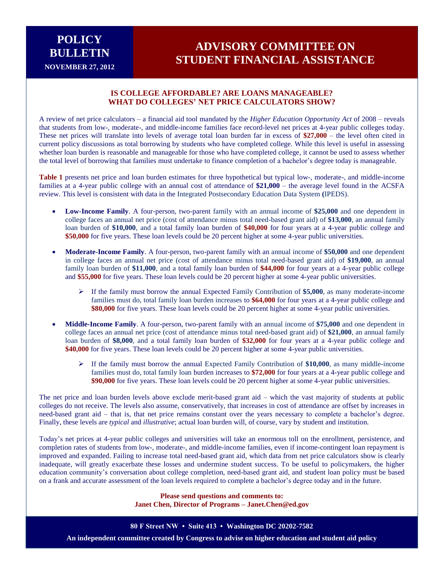## **ADVISORY COMMITTEE ON STUDENT FINANCIAL ASSISTANCE**

## **IS COLLEGE AFFORDABLE? ARE LOANS MANAGEABLE? WHAT DO COLLEGES' NET PRICE CALCULATORS SHOW?**

A review of net price calculators – a financial aid tool mandated by the *Higher Education Opportunity Act* of 2008 – reveals that students from low-, moderate-, and middle-income families face record-level net prices at 4-year public colleges today. These net prices will translate into levels of average total loan burden far in excess of **\$27,000** – the level often cited in current policy discussions as total borrowing by students who have completed college. While this level is useful in assessing whether loan burden is reasonable and manageable for those who have completed college, it cannot be used to assess whether the total level of borrowing that families must undertake to finance completion of a bachelor's degree today is manageable.

**Table 1** presents net price and loan burden estimates for three hypothetical but typical low-, moderate-, and middle-income families at a 4-year public college with an annual cost of attendance of **\$21,000** – the average level found in the ACSFA review. This level is consistent with data in the Integrated Postsecondary Education Data System **(**IPEDS).

- **Low-Income Family**. A four-person, two-parent family with an annual income of **\$25,000** and one dependent in college faces an annual net price (cost of attendance minus total need-based grant aid) of **\$13,000**, an annual family loan burden of **\$10,000**, and a total family loan burden of **\$40,000** for four years at a 4-year public college and **\$50,000** for five years. These loan levels could be 20 percent higher at some 4-year public universities.
- **Moderate-Income Family**. A four-person, two-parent family with an annual income of **\$50,000** and one dependent in college faces an annual net price (cost of attendance minus total need-based grant aid) of **\$19,000**, an annual family loan burden of **\$11,000**, and a total family loan burden of **\$44,000** for four years at a 4-year public college and **\$55,000** for five years. These loan levels could be 20 percent higher at some 4-year public universities.
	- $\triangleright$  If the family must borrow the annual Expected Family Contribution of **\$5,000**, as many moderate-income families must do, total family loan burden increases to **\$64,000** for four years at a 4-year public college and **\$80,000** for five years. These loan levels could be 20 percent higher at some 4-year public universities.
- **Middle-Income Family**. A four-person, two-parent family with an annual income of **\$75,000** and one dependent in college faces an annual net price (cost of attendance minus total need-based grant aid) of **\$21,000**, an annual family loan burden of **\$8,000**, and a total family loan burden of **\$32,000** for four years at a 4-year public college and **\$40,000** for five years. These loan levels could be 20 percent higher at some 4-year public universities.
	- $\triangleright$  If the family must borrow the annual Expected Family Contribution of \$10,000, as many middle-income families must do, total family loan burden increases to **\$72,000** for four years at a 4-year public college and **\$90,000** for five years. These loan levels could be 20 percent higher at some 4-year public universities.

The net price and loan burden levels above exclude merit-based grant aid – which the vast majority of students at public colleges do not receive. The levels also assume, conservatively, that increases in cost of attendance are offset by increases in need-based grant aid – that is, that net price remains constant over the years necessary to complete a bachelor's degree. Finally, these levels are *typical* and *illustrative*; actual loan burden will, of course, vary by student and institution.

Today's net prices at 4-year public colleges and universities will take an enormous toll on the enrollment, persistence, and completion rates of students from low-, moderate-, and middle-income families, even if income-contingent loan repayment is improved and expanded. Failing to increase total need-based grant aid, which data from net price calculators show is clearly inadequate, will greatly exacerbate these losses and undermine student success. To be useful to policymakers, the higher education community's conversation about college completion, need-based grant aid, and student loan policy must be based on a frank and accurate assessment of the loan levels required to complete a bachelor's degree today and in the future.

> **Please send questions and comments to: Janet Chen, Director of Programs – Janet.Chen@ed.gov**

**80 F Street NW • Suite 413 • Washington DC 20202-7582 An independent committee created by Congress to advise on higher education and student aid policy**